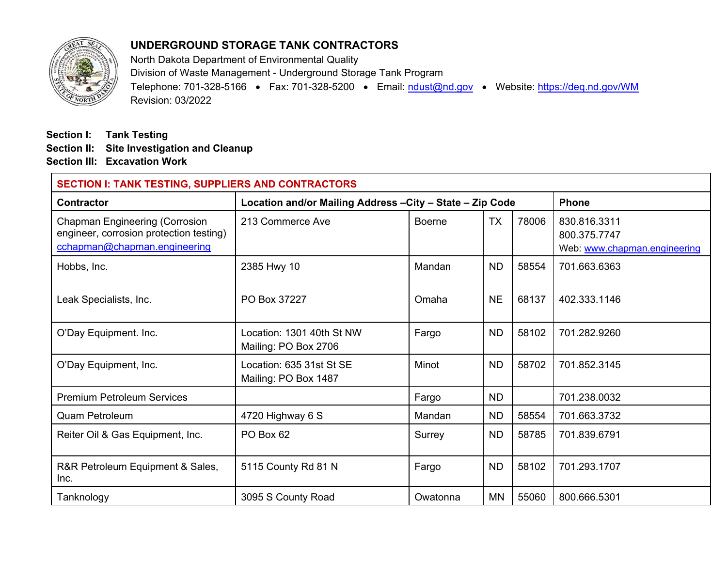

## **UNDERGROUND STORAGE TANK CONTRACTORS**

North Dakota Department of Environmental Quality Division of Waste Management - Underground Storage Tank Program Telephone: 701-328-5166 • Fax: 701-328-5200 • Email: ndust@nd.gov • Website: https://deq.nd.gov/WM Revision: 03/2022

**Section I: Tank Testing Section II: Site Investigation and Cleanup Section III: Excavation Work**

| <b>SECTION I: TANK TESTING, SUPPLIERS AND CONTRACTORS</b>                                                        |                                                   |                                                           |           |       |                                                              |  |
|------------------------------------------------------------------------------------------------------------------|---------------------------------------------------|-----------------------------------------------------------|-----------|-------|--------------------------------------------------------------|--|
| <b>Contractor</b>                                                                                                |                                                   | Location and/or Mailing Address - City - State - Zip Code |           |       |                                                              |  |
| <b>Chapman Engineering (Corrosion</b><br>engineer, corrosion protection testing)<br>cchapman@chapman.engineering | 213 Commerce Ave                                  | <b>Boerne</b>                                             | <b>TX</b> | 78006 | 830.816.3311<br>800.375.7747<br>Web: www.chapman.engineering |  |
| Hobbs, Inc.                                                                                                      | 2385 Hwy 10                                       | Mandan                                                    | <b>ND</b> | 58554 | 701.663.6363                                                 |  |
| Leak Specialists, Inc.                                                                                           | PO Box 37227                                      | Omaha                                                     | <b>NE</b> | 68137 | 402.333.1146                                                 |  |
| O'Day Equipment. Inc.                                                                                            | Location: 1301 40th St NW<br>Mailing: PO Box 2706 | Fargo                                                     | <b>ND</b> | 58102 | 701.282.9260                                                 |  |
| O'Day Equipment, Inc.                                                                                            | Location: 635 31st St SE<br>Mailing: PO Box 1487  | Minot                                                     | <b>ND</b> | 58702 | 701.852.3145                                                 |  |
| <b>Premium Petroleum Services</b>                                                                                |                                                   | Fargo                                                     | <b>ND</b> |       | 701.238.0032                                                 |  |
| <b>Quam Petroleum</b>                                                                                            | 4720 Highway 6 S                                  | Mandan                                                    | <b>ND</b> | 58554 | 701.663.3732                                                 |  |
| Reiter Oil & Gas Equipment, Inc.                                                                                 | PO Box 62                                         | Surrey                                                    | <b>ND</b> | 58785 | 701.839.6791                                                 |  |
| R&R Petroleum Equipment & Sales,<br>Inc.                                                                         | 5115 County Rd 81 N                               | Fargo                                                     | <b>ND</b> | 58102 | 701.293.1707                                                 |  |
| Tanknology                                                                                                       | 3095 S County Road                                | Owatonna                                                  | <b>MN</b> | 55060 | 800.666.5301                                                 |  |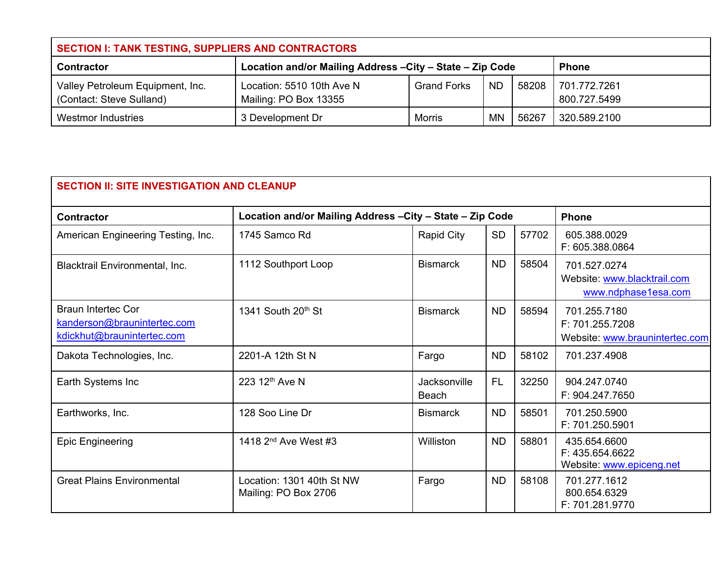| SECTION I: TANK TESTING, SUPPLIERS AND CONTRACTORS          |                                                           |                    |           |       |                              |  |
|-------------------------------------------------------------|-----------------------------------------------------------|--------------------|-----------|-------|------------------------------|--|
| <b>Contractor</b>                                           | Location and/or Mailing Address - City - State - Zip Code | <b>Phone</b>       |           |       |                              |  |
| Valley Petroleum Equipment, Inc.<br>Contact: Steve Sulland) | Location: 5510 10th Ave N<br>Mailing: PO Box 13355        | <b>Grand Forks</b> | ND.       | 58208 | 701.772.7261<br>800.727.5499 |  |
| Westmor Industries                                          | 3 Development Dr                                          | Morris             | <b>MN</b> | 56267 | 320.589.2100                 |  |

| <b>SECTION II: SITE INVESTIGATION AND CLEANUP</b>                                      |                                                           |                              |           |       |                                                                    |  |
|----------------------------------------------------------------------------------------|-----------------------------------------------------------|------------------------------|-----------|-------|--------------------------------------------------------------------|--|
| <b>Contractor</b>                                                                      | Location and/or Mailing Address - City - State - Zip Code | <b>Phone</b>                 |           |       |                                                                    |  |
| American Engineering Testing, Inc.                                                     | 1745 Samco Rd                                             | <b>Rapid City</b>            | <b>SD</b> | 57702 | 605.388.0029<br>F: 605.388.0864                                    |  |
| Blacktrail Environmental, Inc.                                                         | 1112 Southport Loop                                       | <b>Bismarck</b>              | <b>ND</b> | 58504 | 701.527.0274<br>Website: www.blacktrail.com<br>www.ndphase1esa.com |  |
| <b>Braun Intertec Cor</b><br>kanderson@braunintertec.com<br>kdickhut@braunintertec.com | 1341 South 20th St                                        | <b>Bismarck</b>              | <b>ND</b> | 58594 | 701.255.7180<br>F: 701.255.7208<br>Website: www.braunintertec.com  |  |
| Dakota Technologies, Inc.                                                              | 2201-A 12th St N                                          | Fargo                        | <b>ND</b> | 58102 | 701.237.4908                                                       |  |
| Earth Systems Inc                                                                      | 223 12th Ave N                                            | Jacksonville<br><b>Beach</b> | <b>FL</b> | 32250 | 904.247.0740<br>F: 904.247.7650                                    |  |
| Earthworks, Inc.                                                                       | 128 Soo Line Dr                                           | <b>Bismarck</b>              | <b>ND</b> | 58501 | 701.250.5900<br>F: 701.250.5901                                    |  |
| <b>Epic Engineering</b>                                                                | 1418 2 <sup>nd</sup> Ave West #3                          | Williston                    | <b>ND</b> | 58801 | 435.654.6600<br>F: 435.654.6622<br>Website: www.epiceng.net        |  |
| <b>Great Plains Environmental</b>                                                      | Location: 1301 40th St NW<br>Mailing: PO Box 2706         | Fargo                        | <b>ND</b> | 58108 | 701.277.1612<br>800.654.6329<br>F: 701.281.9770                    |  |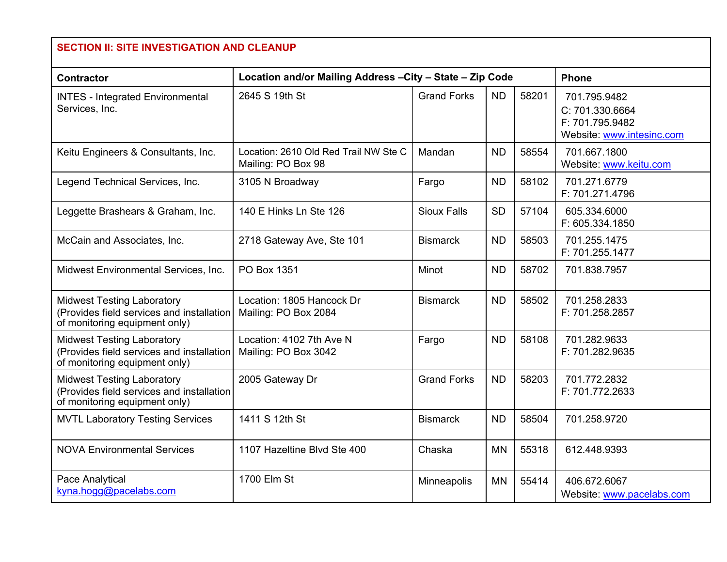| <b>SECTION II: SITE INVESTIGATION AND CLEANUP</b>                                                               |                                                             |                    |           |       |                                                                                 |  |
|-----------------------------------------------------------------------------------------------------------------|-------------------------------------------------------------|--------------------|-----------|-------|---------------------------------------------------------------------------------|--|
| Contractor                                                                                                      | Location and/or Mailing Address - City - State - Zip Code   |                    |           |       |                                                                                 |  |
| <b>INTES - Integrated Environmental</b><br>Services, Inc.                                                       | 2645 S 19th St                                              | <b>Grand Forks</b> | <b>ND</b> | 58201 | 701.795.9482<br>C: 701.330.6664<br>F: 701.795.9482<br>Website: www.intesinc.com |  |
| Keitu Engineers & Consultants, Inc.                                                                             | Location: 2610 Old Red Trail NW Ste C<br>Mailing: PO Box 98 | Mandan             | <b>ND</b> | 58554 | 701.667.1800<br>Website: www.keitu.com                                          |  |
| Legend Technical Services, Inc.                                                                                 | 3105 N Broadway                                             | Fargo              | <b>ND</b> | 58102 | 701.271.6779<br>F: 701.271.4796                                                 |  |
| Leggette Brashears & Graham, Inc.                                                                               | 140 E Hinks Ln Ste 126                                      | <b>Sioux Falls</b> | <b>SD</b> | 57104 | 605.334.6000<br>F: 605.334.1850                                                 |  |
| McCain and Associates, Inc.                                                                                     | 2718 Gateway Ave, Ste 101                                   | <b>Bismarck</b>    | <b>ND</b> | 58503 | 701.255.1475<br>F: 701.255.1477                                                 |  |
| Midwest Environmental Services, Inc.                                                                            | PO Box 1351                                                 | Minot              | <b>ND</b> | 58702 | 701.838.7957                                                                    |  |
| <b>Midwest Testing Laboratory</b><br>(Provides field services and installation<br>of monitoring equipment only) | Location: 1805 Hancock Dr<br>Mailing: PO Box 2084           | <b>Bismarck</b>    | <b>ND</b> | 58502 | 701.258.2833<br>F: 701.258.2857                                                 |  |
| <b>Midwest Testing Laboratory</b><br>(Provides field services and installation<br>of monitoring equipment only) | Location: 4102 7th Ave N<br>Mailing: PO Box 3042            | Fargo              | <b>ND</b> | 58108 | 701.282.9633<br>F: 701.282.9635                                                 |  |
| <b>Midwest Testing Laboratory</b><br>(Provides field services and installation<br>of monitoring equipment only) | 2005 Gateway Dr                                             | <b>Grand Forks</b> | <b>ND</b> | 58203 | 701.772.2832<br>F: 701.772.2633                                                 |  |
| <b>MVTL Laboratory Testing Services</b>                                                                         | 1411 S 12th St                                              | <b>Bismarck</b>    | <b>ND</b> | 58504 | 701.258.9720                                                                    |  |
| <b>NOVA Environmental Services</b>                                                                              | 1107 Hazeltine Blvd Ste 400                                 | Chaska             | <b>MN</b> | 55318 | 612.448.9393                                                                    |  |
| Pace Analytical<br>kyna.hogg@pacelabs.com                                                                       | 1700 Elm St                                                 | Minneapolis        | <b>MN</b> | 55414 | 406.672.6067<br>Website: www.pacelabs.com                                       |  |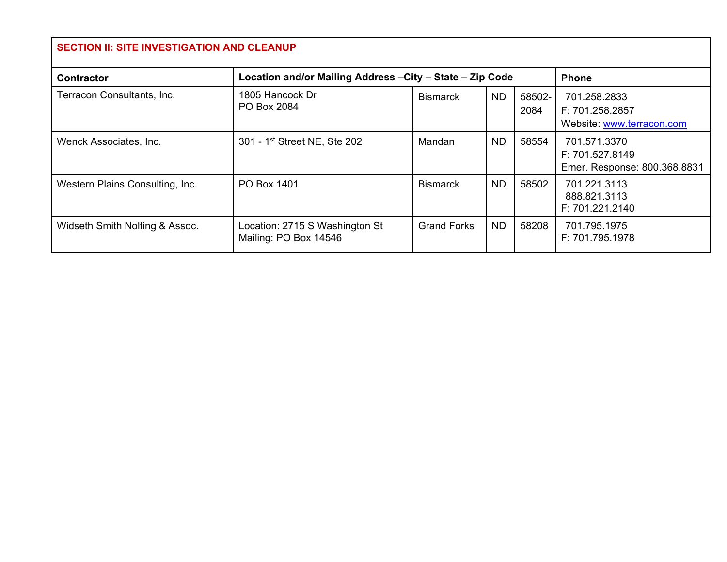| <b>SECTION II: SITE INVESTIGATION AND CLEANUP</b> |                                                           |                    |           |                |                                                                 |  |
|---------------------------------------------------|-----------------------------------------------------------|--------------------|-----------|----------------|-----------------------------------------------------------------|--|
| <b>Contractor</b>                                 | Location and/or Mailing Address - City - State - Zip Code |                    |           |                | <b>Phone</b>                                                    |  |
| Terracon Consultants, Inc.                        | 1805 Hancock Dr<br>PO Box 2084                            | <b>Bismarck</b>    | <b>ND</b> | 58502-<br>2084 | 701.258.2833<br>F: 701.258.2857<br>Website: www.terracon.com    |  |
| Wenck Associates, Inc.                            | 301 - 1 <sup>st</sup> Street NE, Ste 202                  | Mandan             | <b>ND</b> | 58554          | 701.571.3370<br>F: 701.527.8149<br>Emer. Response: 800.368.8831 |  |
| Western Plains Consulting, Inc.                   | PO Box 1401                                               | <b>Bismarck</b>    | <b>ND</b> | 58502          | 701.221.3113<br>888.821.3113<br>F: 701.221.2140                 |  |
| Widseth Smith Nolting & Assoc.                    | Location: 2715 S Washington St<br>Mailing: PO Box 14546   | <b>Grand Forks</b> | <b>ND</b> | 58208          | 701.795.1975<br>F: 701.795.1978                                 |  |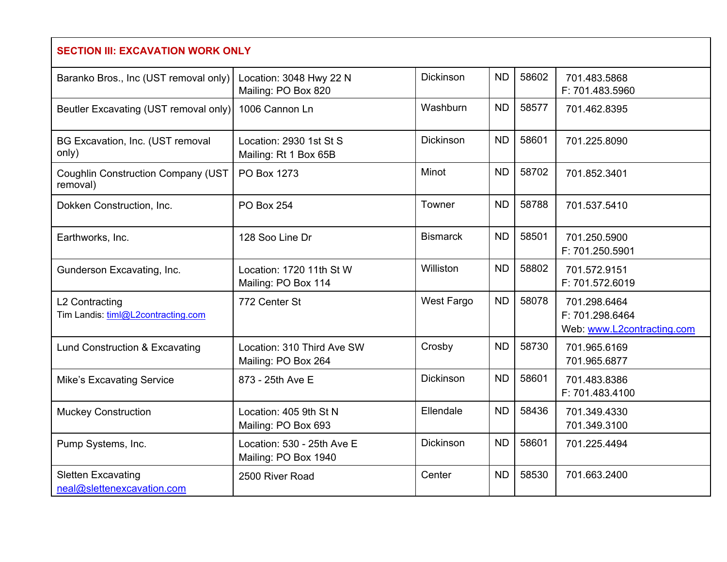| <b>SECTION III: EXCAVATION WORK ONLY</b>                |                                                    |                  |           |       |                                                               |  |
|---------------------------------------------------------|----------------------------------------------------|------------------|-----------|-------|---------------------------------------------------------------|--|
| Baranko Bros., Inc (UST removal only)                   | Location: 3048 Hwy 22 N<br>Mailing: PO Box 820     | <b>Dickinson</b> | <b>ND</b> | 58602 | 701.483.5868<br>F: 701.483.5960                               |  |
| Beutler Excavating (UST removal only)                   | 1006 Cannon Ln                                     | Washburn         | <b>ND</b> | 58577 | 701.462.8395                                                  |  |
| BG Excavation, Inc. (UST removal<br>only)               | Location: 2930 1st St S<br>Mailing: Rt 1 Box 65B   | <b>Dickinson</b> | <b>ND</b> | 58601 | 701.225.8090                                                  |  |
| <b>Coughlin Construction Company (UST</b><br>removal)   | PO Box 1273                                        | <b>Minot</b>     | <b>ND</b> | 58702 | 701.852.3401                                                  |  |
| Dokken Construction, Inc.                               | <b>PO Box 254</b>                                  | Towner           | <b>ND</b> | 58788 | 701.537.5410                                                  |  |
| Earthworks, Inc.                                        | 128 Soo Line Dr                                    | <b>Bismarck</b>  | <b>ND</b> | 58501 | 701.250.5900<br>F: 701.250.5901                               |  |
| Gunderson Excavating, Inc.                              | Location: 1720 11th St W<br>Mailing: PO Box 114    | Williston        | <b>ND</b> | 58802 | 701.572.9151<br>F: 701.572.6019                               |  |
| L2 Contracting<br>Tim Landis: timl@L2contracting.com    | 772 Center St                                      | West Fargo       | <b>ND</b> | 58078 | 701.298.6464<br>F: 701.298.6464<br>Web: www.L2contracting.com |  |
| Lund Construction & Excavating                          | Location: 310 Third Ave SW<br>Mailing: PO Box 264  | Crosby           | <b>ND</b> | 58730 | 701.965.6169<br>701.965.6877                                  |  |
| <b>Mike's Excavating Service</b>                        | 873 - 25th Ave E                                   | <b>Dickinson</b> | <b>ND</b> | 58601 | 701.483.8386<br>F: 701.483.4100                               |  |
| <b>Muckey Construction</b>                              | Location: 405 9th St N<br>Mailing: PO Box 693      | Ellendale        | <b>ND</b> | 58436 | 701.349.4330<br>701.349.3100                                  |  |
| Pump Systems, Inc.                                      | Location: 530 - 25th Ave E<br>Mailing: PO Box 1940 | <b>Dickinson</b> | <b>ND</b> | 58601 | 701.225.4494                                                  |  |
| <b>Sletten Excavating</b><br>neal@slettenexcavation.com | 2500 River Road                                    | Center           | <b>ND</b> | 58530 | 701.663.2400                                                  |  |